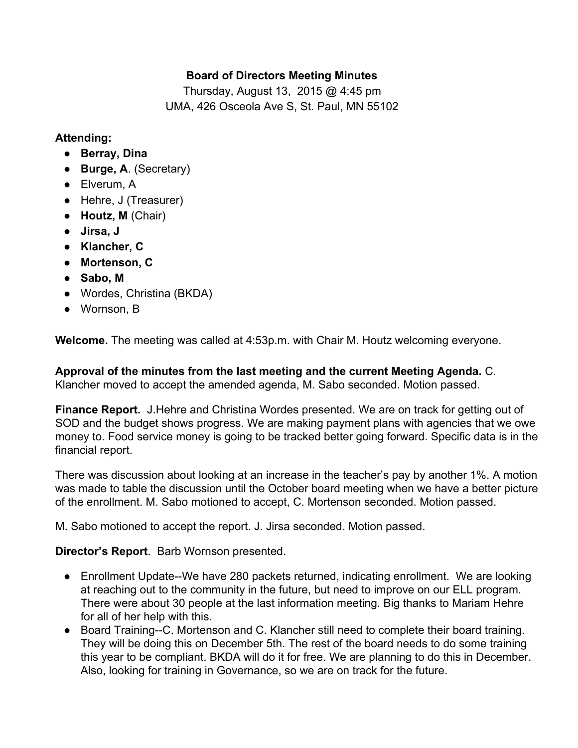### **Board of Directors Meeting Minutes**

Thursday, August 13, 2015 @ 4:45 pm UMA, 426 Osceola Ave S, St. Paul, MN 55102

#### **Attending:**

- **Berray, Dina**
- **Burge, A**. (Secretary)
- Elverum, A
- Hehre, J (Treasurer)
- **Houtz, M**(Chair)
- **Jirsa, J**
- **● Klancher, C**
- **● Mortenson, C**
- **Sabo, M**
- **●** Wordes, Christina (BKDA)
- Wornson, B

**Welcome.**The meeting was called at 4:53p.m. with Chair M. Houtz welcoming everyone.

**Approval of the minutes from the last meeting and the current Meeting Agenda.** C. Klancher moved to accept the amended agenda, M. Sabo seconded. Motion passed.

**Finance Report.** J.Hehre and Christina Wordes presented. We are on track for getting out of SOD and the budget shows progress. We are making payment plans with agencies that we owe money to. Food service money is going to be tracked better going forward. Specific data is in the financial report.

There was discussion about looking at an increase in the teacher's pay by another 1%. A motion was made to table the discussion until the October board meeting when we have a better picture of the enrollment. M. Sabo motioned to accept, C. Mortenson seconded. Motion passed.

M. Sabo motioned to accept the report. J. Jirsa seconded. Motion passed.

**Director's Report**. Barb Wornson presented.

- Enrollment Update--We have 280 packets returned, indicating enrollment. We are looking at reaching out to the community in the future, but need to improve on our ELL program. There were about 30 people at the last information meeting. Big thanks to Mariam Hehre for all of her help with this.
- Board Training--C. Mortenson and C. Klancher still need to complete their board training. They will be doing this on December 5th. The rest of the board needs to do some training this year to be compliant. BKDA will do it for free. We are planning to do this in December. Also, looking for training in Governance, so we are on track for the future.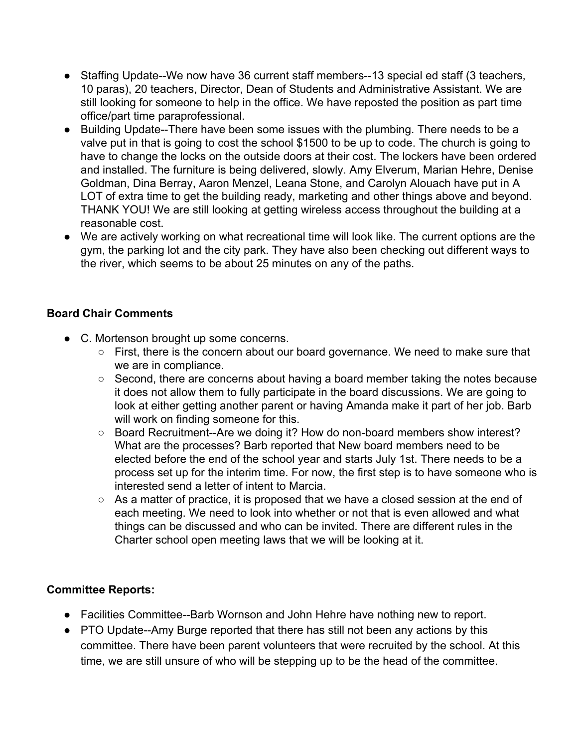- Staffing Update--We now have 36 current staff members--13 special ed staff (3 teachers, 10 paras), 20 teachers, Director, Dean of Students and Administrative Assistant. We are still looking for someone to help in the office. We have reposted the position as part time office/part time paraprofessional.
- Building Update--There have been some issues with the plumbing. There needs to be a valve put in that is going to cost the school \$1500 to be up to code. The church is going to have to change the locks on the outside doors at their cost. The lockers have been ordered and installed. The furniture is being delivered, slowly. Amy Elverum, Marian Hehre, Denise Goldman, Dina Berray, Aaron Menzel, Leana Stone, and Carolyn Alouach have put in A LOT of extra time to get the building ready, marketing and other things above and beyond. THANK YOU! We are still looking at getting wireless access throughout the building at a reasonable cost.
- We are actively working on what recreational time will look like. The current options are the gym, the parking lot and the city park. They have also been checking out different ways to the river, which seems to be about 25 minutes on any of the paths.

### **Board Chair Comments**

- C. Mortenson brought up some concerns.
	- First, there is the concern about our board governance. We need to make sure that we are in compliance.
	- Second, there are concerns about having a board member taking the notes because it does not allow them to fully participate in the board discussions. We are going to look at either getting another parent or having Amanda make it part of her job. Barb will work on finding someone for this.
	- Board Recruitment--Are we doing it? How do non-board members show interest? What are the processes? Barb reported that New board members need to be elected before the end of the school year and starts July 1st. There needs to be a process set up for the interim time. For now, the first step is to have someone who is interested send a letter of intent to Marcia.
	- As a matter of practice, it is proposed that we have a closed session at the end of each meeting. We need to look into whether or not that is even allowed and what things can be discussed and who can be invited. There are different rules in the Charter school open meeting laws that we will be looking at it.

# **Committee Reports:**

- Facilities Committee--Barb Wornson and John Hehre have nothing new to report.
- PTO Update--Amy Burge reported that there has still not been any actions by this committee. There have been parent volunteers that were recruited by the school. At this time, we are still unsure of who will be stepping up to be the head of the committee.